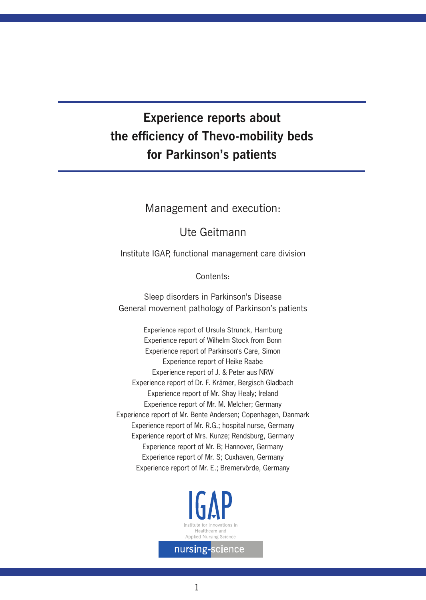# **Experience reports about the efficiency of Thevo-mobility beds for Parkinson's patients**

# Management and execution:

# Ute Geitmann

Institute IGAP, functional management care division

Contents:

Sleep disorders in Parkinson's Disease General movement pathology of Parkinson's patients

Experience report of Ursula Strunck, Hamburg Experience report of Wilhelm Stock from Bonn Experience report of Parkinson's Care, Simon Experience report of Heike Raabe Experience report of J. & Peter aus NRW Experience report of Dr. F. Krämer, Bergisch Gladbach Experience report of Mr. Shay Healy; Ireland Experience report of Mr. M. Melcher; Germany Experience report of Mr. Bente Andersen; Copenhagen, Danmark Experience report of Mr. R.G.; hospital nurse, Germany Experience report of Mrs. Kunze; Rendsburg, Germany Experience report of Mr. B; Hannover, Germany Experience report of Mr. S; Cuxhaven, Germany Experience report of Mr. E.; Bremervörde, Germany

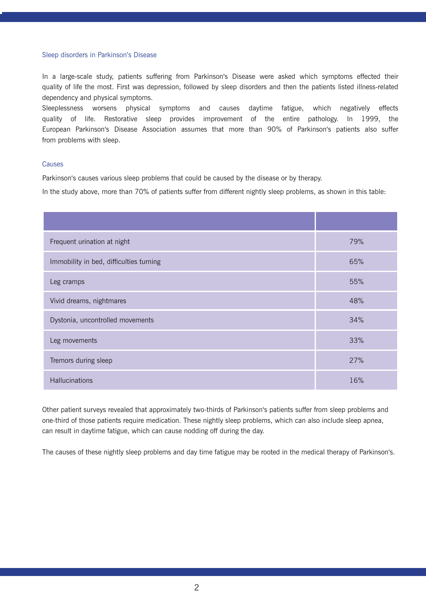#### Sleep disorders in Parkinson's Disease

In a large-scale study, patients suffering from Parkinson's Disease were asked which symptoms effected their quality of life the most. First was depression, followed by sleep disorders and then the patients listed illness-related dependency and physical symptoms.

Sleeplessness worsens physical symptoms and causes daytime fatigue, which negatively effects quality of life. Restorative sleep provides improvement of the entire pathology. In 1999, the European Parkinson's Disease Association assumes that more than 90% of Parkinson's patients also suffer from problems with sleep.

#### Causes

Parkinson's causes various sleep problems that could be caused by the disease or by therapy.

In the study above, more than 70% of patients suffer from different nightly sleep problems, as shown in this table:

| Frequent urination at night             | 79% |
|-----------------------------------------|-----|
| Immobility in bed, difficulties turning | 65% |
| Leg cramps                              | 55% |
| Vivid dreams, nightmares                | 48% |
| Dystonia, uncontrolled movements        | 34% |
| Leg movements                           | 33% |
| Tremors during sleep                    | 27% |
| Hallucinations                          | 16% |

Other patient surveys revealed that approximately two-thirds of Parkinson's patients suffer from sleep problems and one-third of those patients require medication. These nightly sleep problems, which can also include sleep apnea, can result in daytime fatigue, which can cause nodding off during the day.

The causes of these nightly sleep problems and day time fatigue may be rooted in the medical therapy of Parkinson's.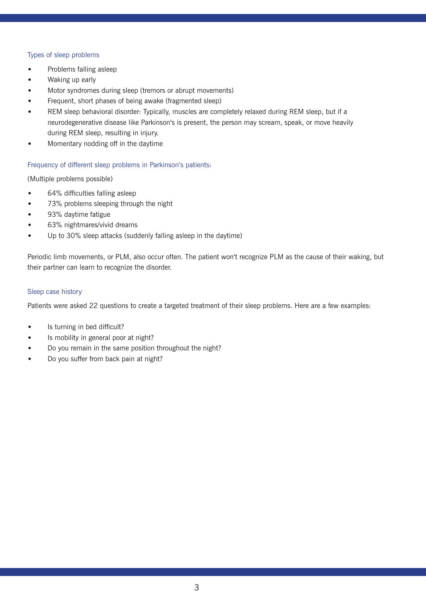# Types of sleep problems

- Problems falling asleep
- Waking up early
- Motor syndromes during sleep (tremors or abrupt movements)
- Frequent, short phases of being awake (fragmented sleep)
- REM sleep behavioral disorder: Typically, muscles are completely relaxed during REM sleep, but if a neurodegenerative disease like Parkinson's is present, the person may scream, speak, or move heavily during REM sleep, resulting in injury.
- Momentary nodding off in the daytime

# Frequency of different sleep problems in Parkinson's patients:

(Multiple problems possible)

- 64% difficulties falling asleep
- 73% problems sleeping through the night
- 93% daytime fatigue
- 63% nightmares/vivid dreams
- Up to 30% sleep attacks (suddenly falling asleep in the daytime)

Periodic limb movements, or PLM, also occur often. The patient won't recognize PLM as the cause of their waking, but their partner can learn to recognize the disorder.

# Sleep case history

Patients were asked 22 questions to create a targeted treatment of their sleep problems. Here are a few examples:

- Is turning in bed difficult?
- Is mobility in general poor at night?
- Do you remain in the same position throughout the night?
- Do you suffer from back pain at night?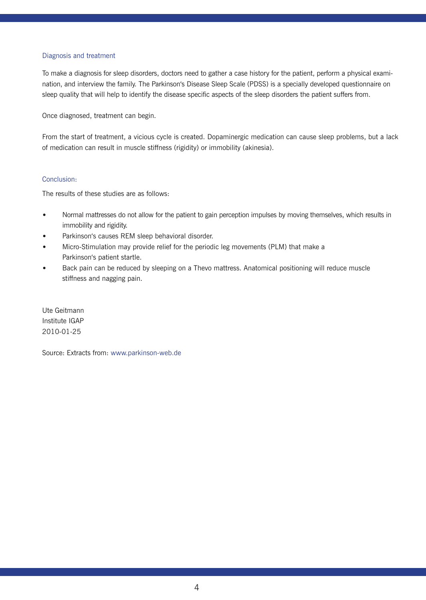# Diagnosis and treatment

To make a diagnosis for sleep disorders, doctors need to gather a case history for the patient, perform a physical examination, and interview the family. The Parkinson's Disease Sleep Scale (PDSS) is a specially developed questionnaire on sleep quality that will help to identify the disease specific aspects of the sleep disorders the patient suffers from.

Once diagnosed, treatment can begin.

From the start of treatment, a vicious cycle is created. Dopaminergic medication can cause sleep problems, but a lack of medication can result in muscle stiffness (rigidity) or immobility (akinesia).

# Conclusion:

The results of these studies are as follows:

- Normal mattresses do not allow for the patient to gain perception impulses by moving themselves, which results in immobility and rigidity.
- Parkinson's causes REM sleep behavioral disorder.
- Micro-Stimulation may provide relief for the periodic leg movements (PLM) that make a Parkinson's patient startle.
- Back pain can be reduced by sleeping on a Thevo mattress. Anatomical positioning will reduce muscle stiffness and nagging pain.

Ute Geitmann Institute IGAP 2010-01-25

Source: Extracts from: www.parkinson-web.de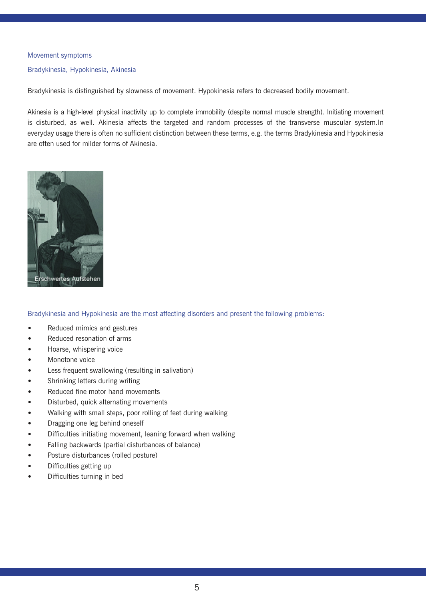#### Movement symptoms

#### Bradykinesia, Hypokinesia, Akinesia

Bradykinesia is distinguished by slowness of movement. Hypokinesia refers to decreased bodily movement.

Akinesia is a high-level physical inactivity up to complete immobility (despite normal muscle strength). Initiating movement is disturbed, as well. Akinesia affects the targeted and random processes of the transverse muscular system.In everyday usage there is often no sufficient distinction between these terms, e.g. the terms Bradykinesia and Hypokinesia are often used for milder forms of Akinesia.



Bradykinesia and Hypokinesia are the most affecting disorders and present the following problems:

- Reduced mimics and gestures
- Reduced resonation of arms
- Hoarse, whispering voice
- Monotone voice
- Less frequent swallowing (resulting in salivation)
- Shrinking letters during writing
- Reduced fine motor hand movements
- Disturbed, quick alternating movements
- Walking with small steps, poor rolling of feet during walking
- Dragging one leg behind oneself
- Difficulties initiating movement, leaning forward when walking
- Falling backwards (partial disturbances of balance)
- Posture disturbances (rolled posture)
- Difficulties getting up
- Difficulties turning in bed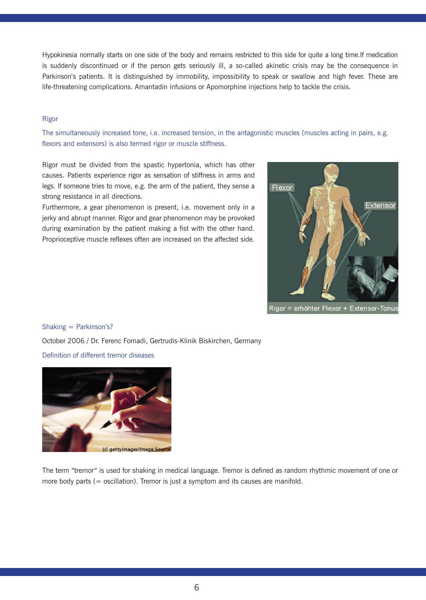Hypokinesia normally starts on one side of the body and remains restricted to this side for quite a long time.If medication is suddenly discontinued or if the person gets seriously ill, a so-called akinetic crisis may be the consequence in Parkinson's patients. It is distinguished by immobility, impossibility to speak or swallow and high fever. These are life-threatening complications. Amantadin infusions or Apomorphine injections help to tackle the crisis.

# Rigor

The simultaneously increased tone, i.e. increased tension, in the antagonistic muscles (muscles acting in pairs, e.g. flexors and extensors) is also termed rigor or muscle stiffness.

Rigor must be divided from the spastic hypertonia, which has other causes. Patients experience rigor as sensation of stiffness in arms and legs. If someone tries to move, e.g. the arm of the patient, they sense a strong resistance in all directions.

Furthermore, a gear phenomenon is present, i.e. movement only in a jerky and abrupt manner. Rigor and gear phenomenon may be provoked during examination by the patient making a fist with the other hand. Proprioceptive muscle reflexes often are increased on the affected side.



#### Shaking = Parkinson's?

October 2006 / Dr. Ferenc Fornadi, Gertrudis-Klinik Biskirchen, Germany

Definition of different tremor diseases



The term "tremor" is used for shaking in medical language. Tremor is defined as random rhythmic movement of one or more body parts (= oscillation). Tremor is just a symptom and its causes are manifold.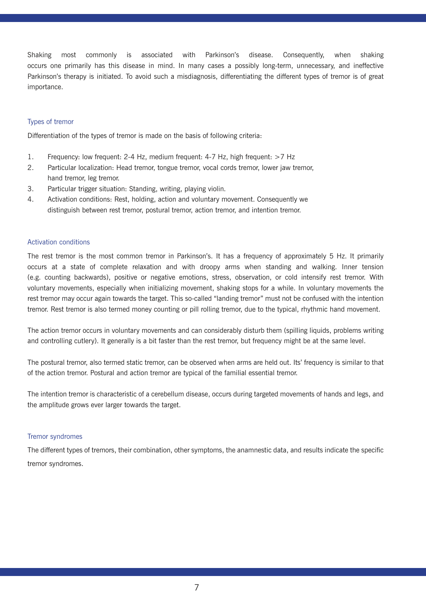Shaking most commonly is associated with Parkinson's disease. Consequently, when shaking occurs one primarily has this disease in mind. In many cases a possibly long-term, unnecessary, and ineffective Parkinson's therapy is initiated. To avoid such a misdiagnosis, differentiating the different types of tremor is of great importance.

# Types of tremor

Differentiation of the types of tremor is made on the basis of following criteria:

- 1. Frequency: low frequent: 2-4 Hz, medium frequent: 4-7 Hz, high frequent: >7 Hz
- 2. Particular localization: Head tremor, tongue tremor, vocal cords tremor, lower jaw tremor, hand tremor, leg tremor.
- 3. Particular trigger situation: Standing, writing, playing violin.
- 4. Activation conditions: Rest, holding, action and voluntary movement. Consequently we distinguish between rest tremor, postural tremor, action tremor, and intention tremor.

#### Activation conditions

The rest tremor is the most common tremor in Parkinson's. It has a frequency of approximately 5 Hz. It primarily occurs at a state of complete relaxation and with droopy arms when standing and walking. Inner tension (e.g. counting backwards), positive or negative emotions, stress, observation, or cold intensify rest tremor. With voluntary movements, especially when initializing movement, shaking stops for a while. In voluntary movements the rest tremor may occur again towards the target. This so-called "landing tremor" must not be confused with the intention tremor. Rest tremor is also termed money counting or pill rolling tremor, due to the typical, rhythmic hand movement.

The action tremor occurs in voluntary movements and can considerably disturb them (spilling liquids, problems writing and controlling cutlery). It generally is a bit faster than the rest tremor, but frequency might be at the same level.

The postural tremor, also termed static tremor, can be observed when arms are held out. Its' frequency is similar to that of the action tremor. Postural and action tremor are typical of the familial essential tremor.

The intention tremor is characteristic of a cerebellum disease, occurs during targeted movements of hands and legs, and the amplitude grows ever larger towards the target.

#### Tremor syndromes

The different types of tremors, their combination, other symptoms, the anamnestic data, and results indicate the specific tremor syndromes.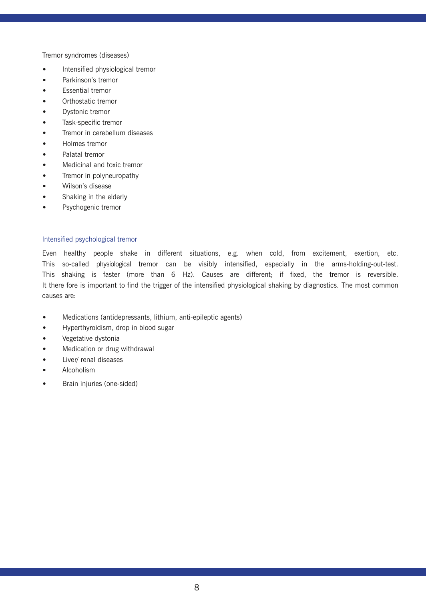Tremor syndromes (diseases)

- Intensified physiological tremor
- Parkinson's tremor
- Essential tremor
- Orthostatic tremor
- Dystonic tremor
- Task-specific tremor
- Tremor in cerebellum diseases
- Holmes tremor
- Palatal tremor
- Medicinal and toxic tremor
- Tremor in polyneuropathy
- Wilson's disease
- Shaking in the elderly
- Psychogenic tremor

# Intensified psychological tremor

Even healthy people shake in different situations, e.g. when cold, from excitement, exertion, etc. This so-called physiological tremor can be visibly intensified, especially in the arms-holding-out-test. This shaking is faster (more than 6 Hz). Causes are different; if fixed, the tremor is reversible. It there fore is important to find the trigger of the intensified physiological shaking by diagnostics. The most common causes are:

- Medications (antidepressants, lithium, anti-epileptic agents)
- Hyperthyroidism, drop in blood sugar
- Vegetative dystonia
- Medication or drug withdrawal
- Liver/ renal diseases
- Alcoholism
- Brain injuries (one-sided)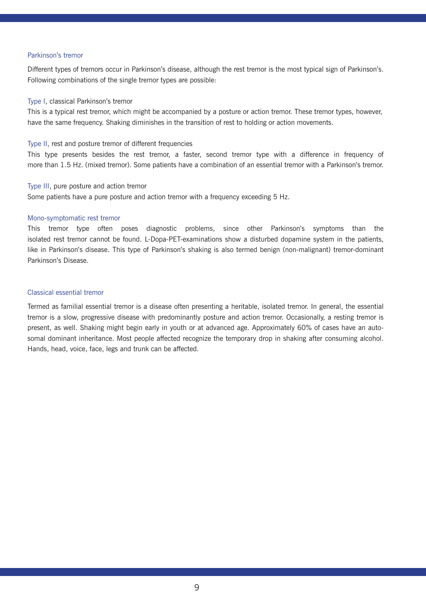#### Parkinson's tremor

Different types of tremors occur in Parkinson's disease, although the rest tremor is the most typical sign of Parkinson's. Following combinations of the single tremor types are possible:

#### Type I, classical Parkinson's tremor

This is a typical rest tremor, which might be accompanied by a posture or action tremor. These tremor types, however, have the same frequency. Shaking diminishes in the transition of rest to holding or action movements.

#### Type II, rest and posture tremor of different frequencies

This type presents besides the rest tremor, a faster, second tremor type with a difference in frequency of more than 1.5 Hz. (mixed tremor). Some patients have a combination of an essential tremor with a Parkinson's tremor.

#### Type III, pure posture and action tremor

Some patients have a pure posture and action tremor with a frequency exceeding 5 Hz.

#### Mono-symptomatic rest tremor

This tremor type often poses diagnostic problems, since other Parkinson's symptoms than the isolated rest tremor cannot be found. L-Dopa-PET-examinations show a disturbed dopamine system in the patients, like in Parkinson's disease. This type of Parkinson's shaking is also termed benign (non-malignant) tremor-dominant Parkinson's Disease.

# Classical essential tremor

Termed as familial essential tremor is a disease often presenting a heritable, isolated tremor. In general, the essential tremor is a slow, progressive disease with predominantly posture and action tremor. Occasionally, a resting tremor is present, as well. Shaking might begin early in youth or at advanced age. Approximately 60% of cases have an autosomal dominant inheritance. Most people affected recognize the temporary drop in shaking after consuming alcohol. Hands, head, voice, face, legs and trunk can be affected.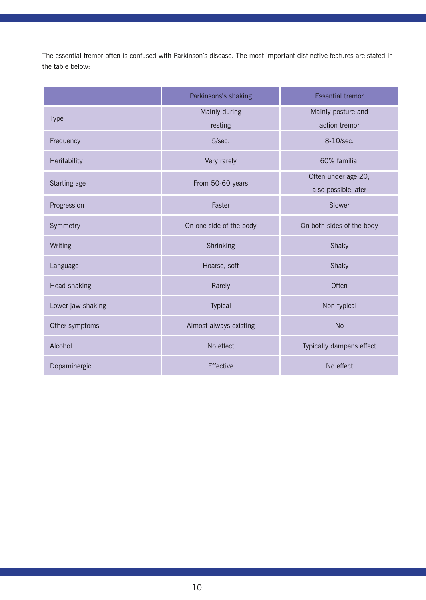The essential tremor often is confused with Parkinson's disease. The most important distinctive features are stated in the table below:

|                   | Parkinsons's shaking     | <b>Essential tremor</b>                    |
|-------------------|--------------------------|--------------------------------------------|
| Type              | Mainly during<br>resting | Mainly posture and<br>action tremor        |
| Frequency         | 5/sec.                   | 8-10/sec.                                  |
| Heritability      | Very rarely              | 60% familial                               |
| Starting age      | From 50-60 years         | Often under age 20,<br>also possible later |
| Progression       | Faster                   | Slower                                     |
| Symmetry          | On one side of the body  | On both sides of the body                  |
| Writing           | Shrinking                | Shaky                                      |
| Language          | Hoarse, soft             | Shaky                                      |
| Head-shaking      | Rarely                   | Often                                      |
| Lower jaw-shaking | Typical                  | Non-typical                                |
| Other symptoms    | Almost always existing   | <b>No</b>                                  |
| Alcohol           | No effect                | Typically dampens effect                   |
| Dopaminergic      | Effective                | No effect                                  |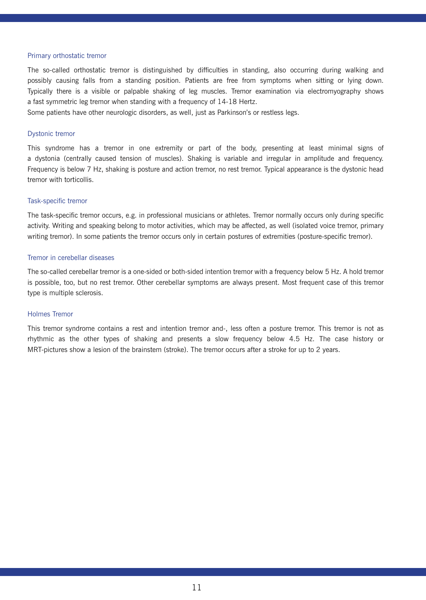#### Primary orthostatic tremor

The so-called orthostatic tremor is distinguished by difficulties in standing, also occurring during walking and possibly causing falls from a standing position. Patients are free from symptoms when sitting or lying down. Typically there is a visible or palpable shaking of leg muscles. Tremor examination via electromyography shows a fast symmetric leg tremor when standing with a frequency of 14-18 Hertz.

Some patients have other neurologic disorders, as well, just as Parkinson's or restless legs.

#### Dystonic tremor

This syndrome has a tremor in one extremity or part of the body, presenting at least minimal signs of a dystonia (centrally caused tension of muscles). Shaking is variable and irregular in amplitude and frequency. Frequency is below 7 Hz, shaking is posture and action tremor, no rest tremor. Typical appearance is the dystonic head tremor with torticollis.

#### Task-specific tremor

The task-specific tremor occurs, e.g. in professional musicians or athletes. Tremor normally occurs only during specific activity. Writing and speaking belong to motor activities, which may be affected, as well (isolated voice tremor, primary writing tremor). In some patients the tremor occurs only in certain postures of extremities (posture-specific tremor).

#### Tremor in cerebellar diseases

The so-called cerebellar tremor is a one-sided or both-sided intention tremor with a frequency below 5 Hz. A hold tremor is possible, too, but no rest tremor. Other cerebellar symptoms are always present. Most frequent case of this tremor type is multiple sclerosis.

#### Holmes Tremor

This tremor syndrome contains a rest and intention tremor and-, less often a posture tremor. This tremor is not as rhythmic as the other types of shaking and presents a slow frequency below 4.5 Hz. The case history or MRT-pictures show a lesion of the brainstem (stroke). The tremor occurs after a stroke for up to 2 years.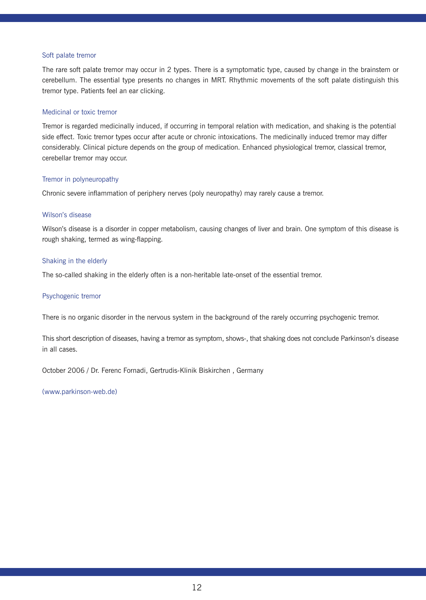#### Soft palate tremor

The rare soft palate tremor may occur in 2 types. There is a symptomatic type, caused by change in the brainstem or cerebellum. The essential type presents no changes in MRT. Rhythmic movements of the soft palate distinguish this tremor type. Patients feel an ear clicking.

#### Medicinal or toxic tremor

Tremor is regarded medicinally induced, if occurring in temporal relation with medication, and shaking is the potential side effect. Toxic tremor types occur after acute or chronic intoxications. The medicinally induced tremor may differ considerably. Clinical picture depends on the group of medication. Enhanced physiological tremor, classical tremor, cerebellar tremor may occur.

#### Tremor in polyneuropathy

Chronic severe inflammation of periphery nerves (poly neuropathy) may rarely cause a tremor.

#### Wilson's disease

Wilson's disease is a disorder in copper metabolism, causing changes of liver and brain. One symptom of this disease is rough shaking, termed as wing-flapping.

#### Shaking in the elderly

The so-called shaking in the elderly often is a non-heritable late-onset of the essential tremor.

#### Psychogenic tremor

There is no organic disorder in the nervous system in the background of the rarely occurring psychogenic tremor.

This short description of diseases, having a tremor as symptom, shows-, that shaking does not conclude Parkinson's disease in all cases.

October 2006 / Dr. Ferenc Fornadi, Gertrudis-Klinik Biskirchen , Germany

(www.parkinson-web.de)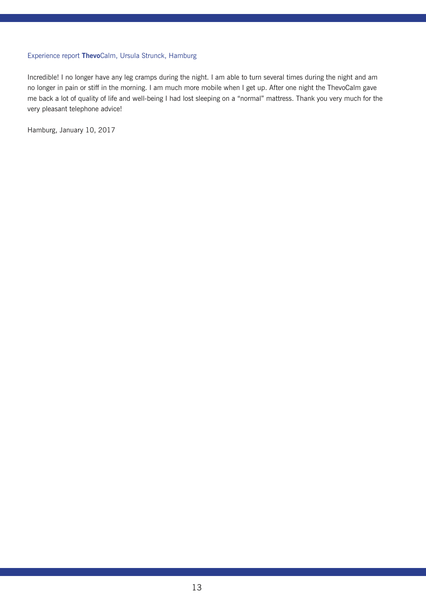# Experience report **Thevo**Calm, Ursula Strunck, Hamburg

Incredible! I no longer have any leg cramps during the night. I am able to turn several times during the night and am no longer in pain or stiff in the morning. I am much more mobile when I get up. After one night the ThevoCalm gave me back a lot of quality of life and well-being I had lost sleeping on a "normal" mattress. Thank you very much for the very pleasant telephone advice!

Hamburg, January 10, 2017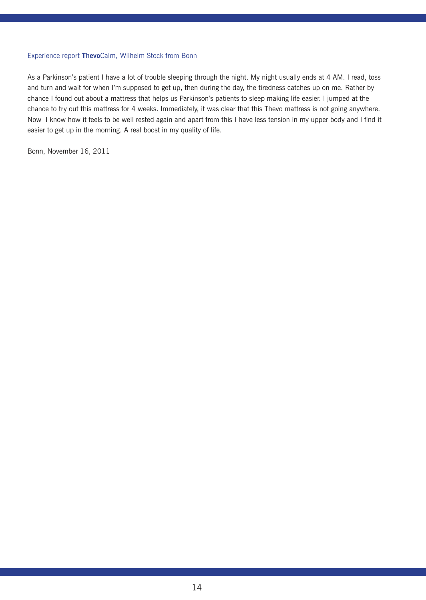# Experience report **Thevo**Calm, Wilhelm Stock from Bonn

As a Parkinson's patient I have a lot of trouble sleeping through the night. My night usually ends at 4 AM. I read, toss and turn and wait for when I'm supposed to get up, then during the day, the tiredness catches up on me. Rather by chance I found out about a mattress that helps us Parkinson's patients to sleep making life easier. I jumped at the chance to try out this mattress for 4 weeks. Immediately, it was clear that this Thevo mattress is not going anywhere. Now I know how it feels to be well rested again and apart from this I have less tension in my upper body and I find it easier to get up in the morning. A real boost in my quality of life.

Bonn, November 16, 2011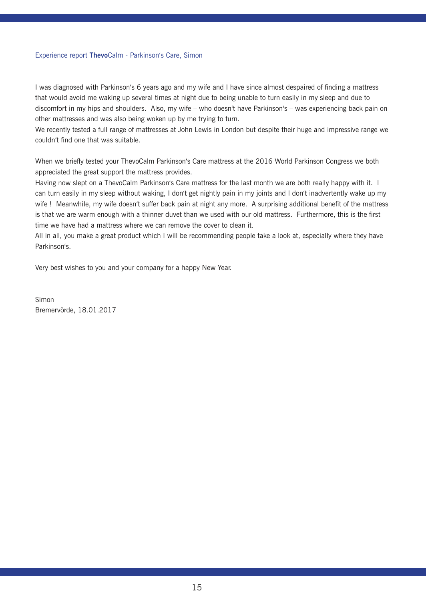#### Experience report **Thevo**Calm - Parkinson's Care, Simon

I was diagnosed with Parkinson's 6 years ago and my wife and I have since almost despaired of finding a mattress that would avoid me waking up several times at night due to being unable to turn easily in my sleep and due to discomfort in my hips and shoulders. Also, my wife – who doesn't have Parkinson's – was experiencing back pain on other mattresses and was also being woken up by me trying to turn.

We recently tested a full range of mattresses at John Lewis in London but despite their huge and impressive range we couldn't find one that was suitable.

When we briefly tested your ThevoCalm Parkinson's Care mattress at the 2016 World Parkinson Congress we both appreciated the great support the mattress provides.

Having now slept on a ThevoCalm Parkinson's Care mattress for the last month we are both really happy with it. I can turn easily in my sleep without waking, I don't get nightly pain in my joints and I don't inadvertently wake up my wife ! Meanwhile, my wife doesn't suffer back pain at night any more. A surprising additional benefit of the mattress is that we are warm enough with a thinner duvet than we used with our old mattress. Furthermore, this is the first time we have had a mattress where we can remove the cover to clean it.

All in all, you make a great product which I will be recommending people take a look at, especially where they have Parkinson's.

Very best wishes to you and your company for a happy New Year.

Simon Bremervörde, 18.01.2017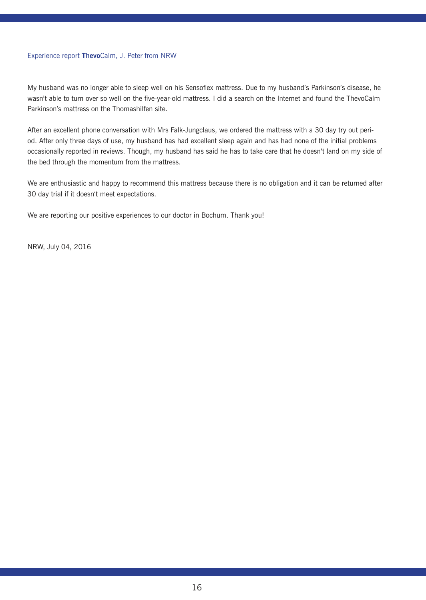# Experience report **Thevo**Calm, J. Peter from NRW

My husband was no longer able to sleep well on his Sensoflex mattress. Due to my husband's Parkinson's disease, he wasn't able to turn over so well on the five-year-old mattress. I did a search on the Internet and found the ThevoCalm Parkinson's mattress on the Thomashilfen site.

After an excellent phone conversation with Mrs Falk-Jungclaus, we ordered the mattress with a 30 day try out period. After only three days of use, my husband has had excellent sleep again and has had none of the initial problems occasionally reported in reviews. Though, my husband has said he has to take care that he doesn't land on my side of the bed through the momentum from the mattress.

We are enthusiastic and happy to recommend this mattress because there is no obligation and it can be returned after 30 day trial if it doesn't meet expectations.

We are reporting our positive experiences to our doctor in Bochum. Thank you!

NRW, July 04, 2016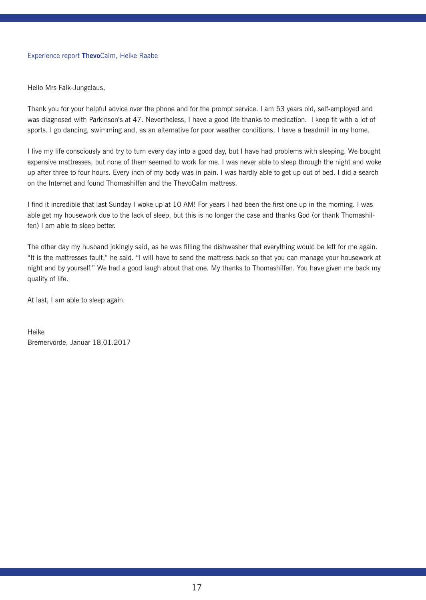# Experience report **Thevo**Calm, Heike Raabe

Hello Mrs Falk-Jungclaus,

Thank you for your helpful advice over the phone and for the prompt service. I am 53 years old, self-employed and was diagnosed with Parkinson's at 47. Nevertheless, I have a good life thanks to medication. I keep fit with a lot of sports. I go dancing, swimming and, as an alternative for poor weather conditions, I have a treadmill in my home.

I live my life consciously and try to turn every day into a good day, but I have had problems with sleeping. We bought expensive mattresses, but none of them seemed to work for me. I was never able to sleep through the night and woke up after three to four hours. Every inch of my body was in pain. I was hardly able to get up out of bed. I did a search on the Internet and found Thomashilfen and the ThevoCalm mattress.

I find it incredible that last Sunday I woke up at 10 AM! For years I had been the first one up in the morning. I was able get my housework due to the lack of sleep, but this is no longer the case and thanks God (or thank Thomashilfen) I am able to sleep better.

The other day my husband jokingly said, as he was filling the dishwasher that everything would be left for me again. "It is the mattresses fault," he said. "I will have to send the mattress back so that you can manage your housework at night and by yourself." We had a good laugh about that one. My thanks to Thomashilfen. You have given me back my quality of life.

At last, I am able to sleep again.

Heike Bremervörde, Januar 18.01.2017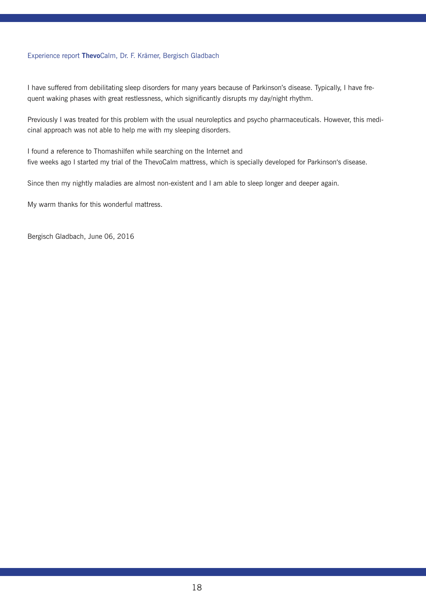# Experience report **Thevo**Calm, Dr. F. Krämer, Bergisch Gladbach

I have suffered from debilitating sleep disorders for many years because of Parkinson's disease. Typically, I have frequent waking phases with great restlessness, which significantly disrupts my day/night rhythm.

Previously I was treated for this problem with the usual neuroleptics and psycho pharmaceuticals. However, this medicinal approach was not able to help me with my sleeping disorders.

I found a reference to Thomashilfen while searching on the Internet and five weeks ago I started my trial of the ThevoCalm mattress, which is specially developed for Parkinson's disease.

Since then my nightly maladies are almost non-existent and I am able to sleep longer and deeper again.

My warm thanks for this wonderful mattress.

Bergisch Gladbach, June 06, 2016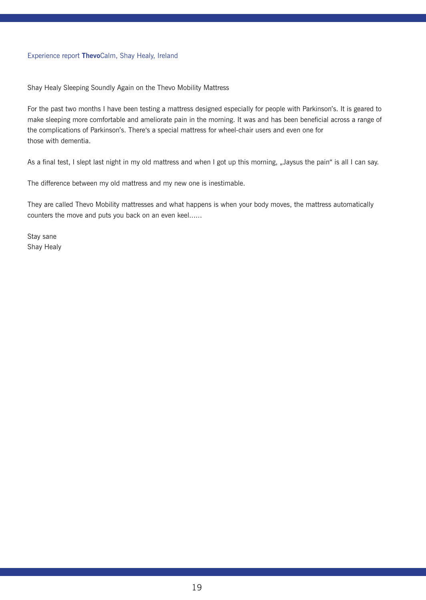# Experience report **Thevo**Calm, Shay Healy, Ireland

Shay Healy Sleeping Soundly Again on the Thevo Mobility Mattress

For the past two months I have been testing a mattress designed especially for people with Parkinson's. It is geared to make sleeping more comfortable and ameliorate pain in the morning. It was and has been beneficial across a range of the complications of Parkinson's. There's a special mattress for wheel-chair users and even one for those with dementia.

As a final test, I slept last night in my old mattress and when I got up this morning, "Jaysus the pain" is all I can say.

The difference between my old mattress and my new one is inestimable.

They are called Thevo Mobility mattresses and what happens is when your body moves, the mattress automatically counters the move and puts you back on an even keel......

Stay sane Shay Healy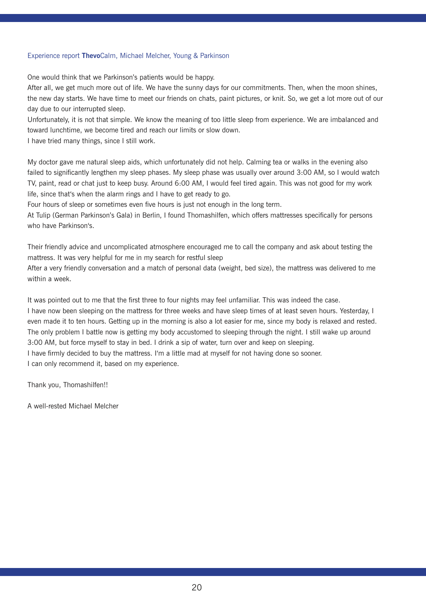# Experience report **Thevo**Calm, Michael Melcher, Young & Parkinson

One would think that we Parkinson's patients would be happy.

After all, we get much more out of life. We have the sunny days for our commitments. Then, when the moon shines, the new day starts. We have time to meet our friends on chats, paint pictures, or knit. So, we get a lot more out of our day due to our interrupted sleep.

Unfortunately, it is not that simple. We know the meaning of too little sleep from experience. We are imbalanced and toward lunchtime, we become tired and reach our limits or slow down.

I have tried many things, since I still work.

My doctor gave me natural sleep aids, which unfortunately did not help. Calming tea or walks in the evening also failed to significantly lengthen my sleep phases. My sleep phase was usually over around 3:00 AM, so I would watch TV, paint, read or chat just to keep busy. Around 6:00 AM, I would feel tired again. This was not good for my work life, since that's when the alarm rings and I have to get ready to go.

Four hours of sleep or sometimes even five hours is just not enough in the long term.

At Tulip (German Parkinson's Gala) in Berlin, I found Thomashilfen, which offers mattresses specifically for persons who have Parkinson's.

Their friendly advice and uncomplicated atmosphere encouraged me to call the company and ask about testing the mattress. It was very helpful for me in my search for restful sleep

After a very friendly conversation and a match of personal data (weight, bed size), the mattress was delivered to me within a week.

It was pointed out to me that the first three to four nights may feel unfamiliar. This was indeed the case. I have now been sleeping on the mattress for three weeks and have sleep times of at least seven hours. Yesterday, I even made it to ten hours. Getting up in the morning is also a lot easier for me, since my body is relaxed and rested. The only problem I battle now is getting my body accustomed to sleeping through the night. I still wake up around 3:00 AM, but force myself to stay in bed. I drink a sip of water, turn over and keep on sleeping. I have firmly decided to buy the mattress. I'm a little mad at myself for not having done so sooner. I can only recommend it, based on my experience.

Thank you, Thomashilfen!!

A well-rested Michael Melcher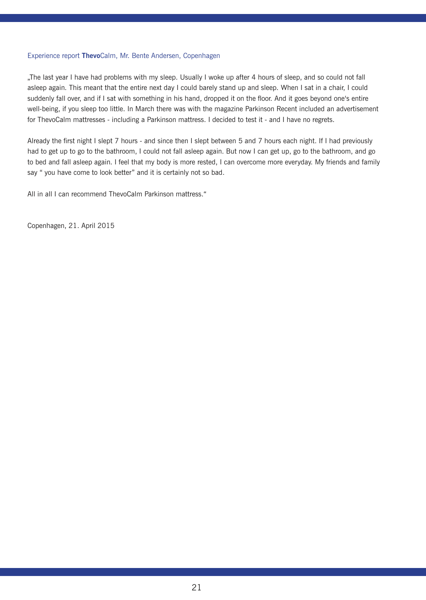# Experience report **Thevo**Calm, Mr. Bente Andersen, Copenhagen

"The last year I have had problems with my sleep. Usually I woke up after 4 hours of sleep, and so could not fall asleep again. This meant that the entire next day I could barely stand up and sleep. When I sat in a chair, I could suddenly fall over, and if I sat with something in his hand, dropped it on the floor. And it goes beyond one's entire well-being, if you sleep too little. In March there was with the magazine Parkinson Recent included an advertisement for ThevoCalm mattresses - including a Parkinson mattress. I decided to test it - and I have no regrets.

Already the first night I slept 7 hours - and since then I slept between 5 and 7 hours each night. If I had previously had to get up to go to the bathroom, I could not fall asleep again. But now I can get up, go to the bathroom, and go to bed and fall asleep again. I feel that my body is more rested, I can overcome more everyday. My friends and family say " you have come to look better" and it is certainly not so bad.

All in all I can recommend ThevoCalm Parkinson mattress."

Copenhagen, 21. April 2015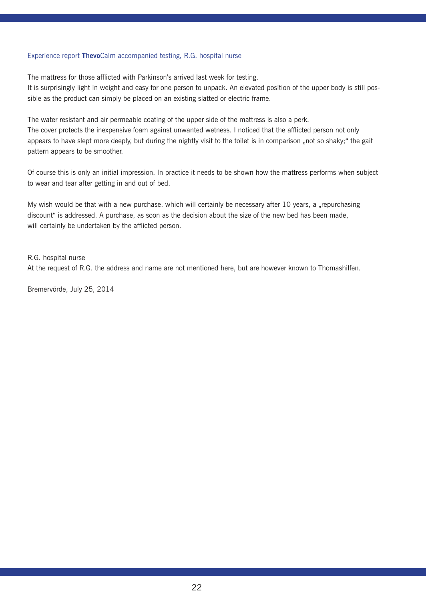### Experience report **Thevo**Calm accompanied testing, R.G. hospital nurse

The mattress for those afflicted with Parkinson's arrived last week for testing.

It is surprisingly light in weight and easy for one person to unpack. An elevated position of the upper body is still possible as the product can simply be placed on an existing slatted or electric frame.

The water resistant and air permeable coating of the upper side of the mattress is also a perk.

The cover protects the inexpensive foam against unwanted wetness. I noticed that the afflicted person not only appears to have slept more deeply, but during the nightly visit to the toilet is in comparison "not so shaky;" the gait pattern appears to be smoother.

Of course this is only an initial impression. In practice it needs to be shown how the mattress performs when subject to wear and tear after getting in and out of bed.

My wish would be that with a new purchase, which will certainly be necessary after 10 years, a "repurchasing discount" is addressed. A purchase, as soon as the decision about the size of the new bed has been made, will certainly be undertaken by the afflicted person.

R.G. hospital nurse At the request of R.G. the address and name are not mentioned here, but are however known to Thomashilfen.

Bremervörde, July 25, 2014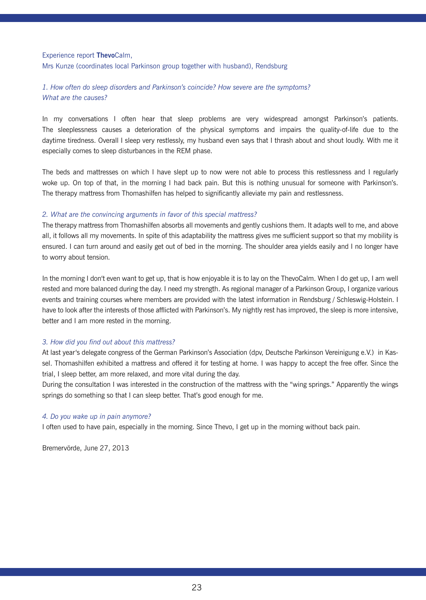# Experience report **Thevo**Calm,

Mrs Kunze (coordinates local Parkinson group together with husband), Rendsburg

# *1. How often do sleep disorders and Parkinson's coincide? How severe are the symptoms? What are the causes?*

In my conversations I often hear that sleep problems are very widespread amongst Parkinson's patients. The sleeplessness causes a deterioration of the physical symptoms and impairs the quality-of-life due to the daytime tiredness. Overall I sleep very restlessly, my husband even says that I thrash about and shout loudly. With me it especially comes to sleep disturbances in the REM phase.

The beds and mattresses on which I have slept up to now were not able to process this restlessness and I regularly woke up. On top of that, in the morning I had back pain. But this is nothing unusual for someone with Parkinson's. The therapy mattress from Thomashilfen has helped to significantly alleviate my pain and restlessness.

#### *2. What are the convincing arguments in favor of this special mattress?*

The therapy mattress from Thomashilfen absorbs all movements and gently cushions them. It adapts well to me, and above all, it follows all my movements. In spite of this adaptability the mattress gives me sufficient support so that my mobility is ensured. I can turn around and easily get out of bed in the morning. The shoulder area yields easily and I no longer have to worry about tension.

In the morning I don't even want to get up, that is how enjoyable it is to lay on the ThevoCalm. When I do get up, I am well rested and more balanced during the day. I need my strength. As regional manager of a Parkinson Group, I organize various events and training courses where members are provided with the latest information in Rendsburg / Schleswig-Holstein. I have to look after the interests of those afflicted with Parkinson's. My nightly rest has improved, the sleep is more intensive, better and I am more rested in the morning.

# *3. How did you find out about this mattress?*

At last year's delegate congress of the German Parkinson's Association (dpv, Deutsche Parkinson Vereinigung e.V.) in Kassel. Thomashilfen exhibited a mattress and offered it for testing at home. I was happy to accept the free offer. Since the trial, I sleep better, am more relaxed, and more vital during the day.

During the consultation I was interested in the construction of the mattress with the "wing springs." Apparently the wings springs do something so that I can sleep better. That's good enough for me.

#### *4. Do you wake up in pain anymore?*

I often used to have pain, especially in the morning. Since Thevo, I get up in the morning without back pain.

Bremervörde, June 27, 2013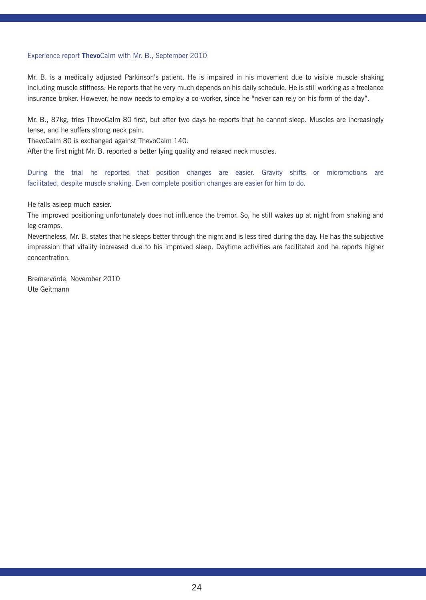# Experience report **Thevo**Calm with Mr. B., September 2010

Mr. B. is a medically adjusted Parkinson's patient. He is impaired in his movement due to visible muscle shaking including muscle stiffness. He reports that he very much depends on his daily schedule. He is still working as a freelance insurance broker. However, he now needs to employ a co-worker, since he "never can rely on his form of the day".

Mr. B., 87kg, tries ThevoCalm 80 first, but after two days he reports that he cannot sleep. Muscles are increasingly tense, and he suffers strong neck pain.

ThevoCalm 80 is exchanged against ThevoCalm 140.

After the first night Mr. B. reported a better lying quality and relaxed neck muscles.

During the trial he reported that position changes are easier. Gravity shifts or micromotions are facilitated, despite muscle shaking. Even complete position changes are easier for him to do.

He falls asleep much easier.

The improved positioning unfortunately does not influence the tremor. So, he still wakes up at night from shaking and leg cramps.

Nevertheless, Mr. B. states that he sleeps better through the night and is less tired during the day. He has the subjective impression that vitality increased due to his improved sleep. Daytime activities are facilitated and he reports higher concentration.

Bremervörde, November 2010 Ute Geitmann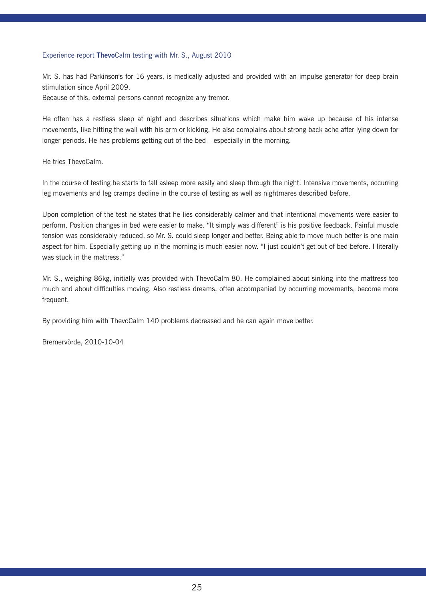# Experience report **Thevo**Calm testing with Mr. S., August 2010

Mr. S. has had Parkinson's for 16 years, is medically adjusted and provided with an impulse generator for deep brain stimulation since April 2009.

Because of this, external persons cannot recognize any tremor.

He often has a restless sleep at night and describes situations which make him wake up because of his intense movements, like hitting the wall with his arm or kicking. He also complains about strong back ache after lying down for longer periods. He has problems getting out of the bed – especially in the morning.

He tries ThevoCalm.

In the course of testing he starts to fall asleep more easily and sleep through the night. Intensive movements, occurring leg movements and leg cramps decline in the course of testing as well as nightmares described before.

Upon completion of the test he states that he lies considerably calmer and that intentional movements were easier to perform. Position changes in bed were easier to make. "It simply was different" is his positive feedback. Painful muscle tension was considerably reduced, so Mr. S. could sleep longer and better. Being able to move much better is one main aspect for him. Especially getting up in the morning is much easier now. "I just couldn't get out of bed before. I literally was stuck in the mattress."

Mr. S., weighing 86kg, initially was provided with ThevoCalm 80. He complained about sinking into the mattress too much and about difficulties moving. Also restless dreams, often accompanied by occurring movements, become more frequent.

By providing him with ThevoCalm 140 problems decreased and he can again move better.

Bremervörde, 2010-10-04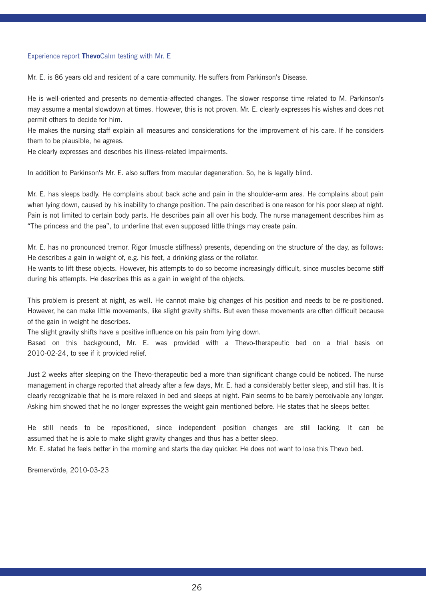### Experience report **Thevo**Calm testing with Mr. E

Mr. E. is 86 years old and resident of a care community. He suffers from Parkinson's Disease.

He is well-oriented and presents no dementia-affected changes. The slower response time related to M. Parkinson's may assume a mental slowdown at times. However, this is not proven. Mr. E. clearly expresses his wishes and does not permit others to decide for him.

He makes the nursing staff explain all measures and considerations for the improvement of his care. If he considers them to be plausible, he agrees.

He clearly expresses and describes his illness-related impairments.

In addition to Parkinson's Mr. E. also suffers from macular degeneration. So, he is legally blind.

Mr. E. has sleeps badly. He complains about back ache and pain in the shoulder-arm area. He complains about pain when lying down, caused by his inability to change position. The pain described is one reason for his poor sleep at night. Pain is not limited to certain body parts. He describes pain all over his body. The nurse management describes him as "The princess and the pea", to underline that even supposed little things may create pain.

Mr. E. has no pronounced tremor. Rigor (muscle stiffness) presents, depending on the structure of the day, as follows: He describes a gain in weight of, e.g. his feet, a drinking glass or the rollator.

He wants to lift these objects. However, his attempts to do so become increasingly difficult, since muscles become stiff during his attempts. He describes this as a gain in weight of the objects.

This problem is present at night, as well. He cannot make big changes of his position and needs to be re-positioned. However, he can make little movements, like slight gravity shifts. But even these movements are often difficult because of the gain in weight he describes.

The slight gravity shifts have a positive influence on his pain from lying down.

Based on this background, Mr. E. was provided with a Thevo-therapeutic bed on a trial basis on 2010-02-24, to see if it provided relief.

Just 2 weeks after sleeping on the Thevo-therapeutic bed a more than significant change could be noticed. The nurse management in charge reported that already after a few days, Mr. E. had a considerably better sleep, and still has. It is clearly recognizable that he is more relaxed in bed and sleeps at night. Pain seems to be barely perceivable any longer. Asking him showed that he no longer expresses the weight gain mentioned before. He states that he sleeps better.

He still needs to be repositioned, since independent position changes are still lacking. It can be assumed that he is able to make slight gravity changes and thus has a better sleep.

Mr. E. stated he feels better in the morning and starts the day quicker. He does not want to lose this Thevo bed.

Bremervörde, 2010-03-23